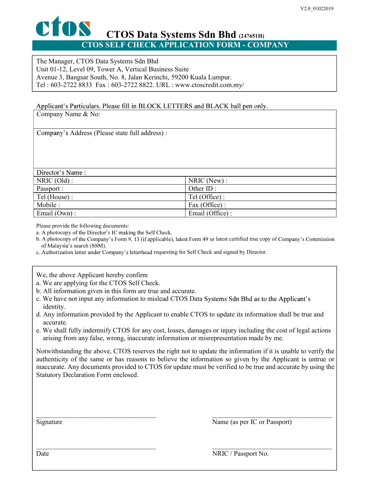## CTOS Data Systems Sdn Bhd (247651H) CTOS SELF CHECK APPLICATION FORM - COMPANY

The Manager, CTOS Data Systems Sdn Bhd Unit 01-12, Level 09, Tower A, Vertical Business Suite Avenue 3, Bangsar South, No. 8, Jalan Kerinchi, 59200 Kuala Lumpur. Tel : 603-2722 8833 Fax : 603-2722 8822. URL : www.ctoscredit.com.my/

Applicant's Particulars. Please fill in BLOCK LETTERS and BLACK ball pen only.

Company Name & No:

Company's Address (Please state full address) :

| Director's Name: |                 |
|------------------|-----------------|
| $NRIC$ (Old) :   | $NRIC$ (New) :  |
| Passport :       | Other ID:       |
| Tel (House) :    | Tel (Office):   |
| Mobile :         | Fax (Office):   |
| Email $(Own)$ :  | Email (Office): |

Please provide the following documents:

a. A photocopy of the Director's IC making the Self Check.

b. A photocopy of the Company's Form 9, 13 (if applicable), latest Form 49 or latest certified true copy of Company's Commission of Malaysia's search (SSM).<br>c. Authorization letter under Company's letterhead requesting for Self Check and signed by Director.

We, the above Applicant hereby confirm

a. We are applying for the CTOS Self Check.

b. All information given in this form are true and accurate.

c. We have not input any information to mislead CTOS Data Systems Sdn Bhd as to the Applicant's identity.

d. Any information provided by the Applicant to enable CTOS to update its information shall be true and accurate.

e. We shall fully indemnify CTOS for any cost, losses, damages or injury including the cost of legal actions arising from any false, wrong, inaccurate information or misrepresentation made by me.

Notwithstanding the above, CTOS reserves the right not to update the information if it is unable to verify the authenticity of the same or has reasons to believe the information so given by the Applicant is untrue or inaccurate. Any documents provided to CTOS for update must be verified to be true and accurate by using the Statutory Declaration Form enclosed.<br>
Signature Manne (as per IC or Passport)<br>
Date MRIC / Passport No.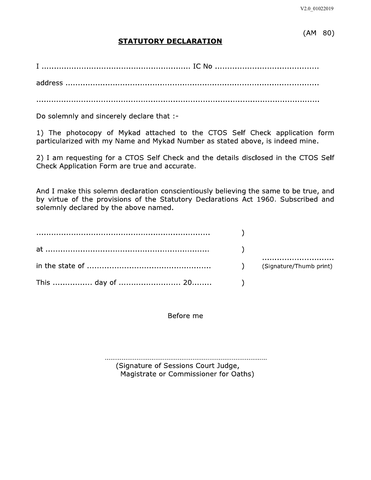## $(AM 80)$

## **STATUTORY DECLARATION**

Do solemnly and sincerely declare that :-

1) The photocopy of Mykad attached to the CTOS Self Check application form particularized with my Name and Mykad Number as stated above, is indeed mine.

2) I am requesting for a CTOS Self Check and the details disclosed in the CTOS Self Check Application Form are true and accurate.

And I make this solemn declaration conscientiously believing the same to be true, and by virtue of the provisions of the Statutory Declarations Act 1960. Subscribed and solemnly declared by the above named.

Before me

(Signature of Sessions Court Judge, Magistrate or Commissioner for Oaths)